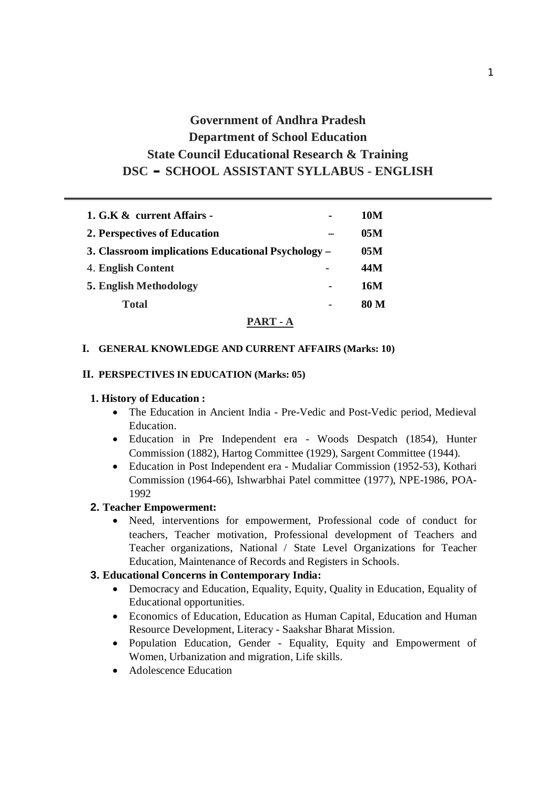# **Government of Andhra Pradesh Department of School Education State Council Educational Research & Training DSCCSCHOOL ASSISTANT SYLLABUS - ENGLISH**

| 1. G.K & current Affairs -                         | 10M  |
|----------------------------------------------------|------|
| 2. Perspectives of Education                       | 05M  |
| 3. Classroom implications Educational Psychology – | 05M  |
| 4. English Content                                 | 44M  |
| <b>5. English Methodology</b>                      | 16M  |
| <b>Total</b>                                       | 80 M |
|                                                    |      |

#### **PART - A**

### **I. GENERAL KNOWLEDGE AND CURRENT AFFAIRS (Marks: 10)**

#### **II. PERSPECTIVES IN EDUCATION (Marks: 05)**

#### **1. History of Education :**

- The Education in Ancient India Pre-Vedic and Post-Vedic period, Medieval Education.
- Education in Pre Independent era Woods Despatch (1854), Hunter Commission (1882), Hartog Committee (1929), Sargent Committee (1944).
- Education in Post Independent era Mudaliar Commission (1952-53), Kothari Commission (1964-66), Ishwarbhai Patel committee (1977), NPE-1986, POA-1992

#### **2. Teacher Empowerment:**

• Need, interventions for empowerment, Professional code of conduct for teachers, Teacher motivation, Professional development of Teachers and Teacher organizations, National / State Level Organizations for Teacher Education, Maintenance of Records and Registers in Schools.

### **3. Educational Concerns in Contemporary India:**

- Democracy and Education, Equality, Equity, Quality in Education, Equality of Educational opportunities.
- Economics of Education, Education as Human Capital, Education and Human Resource Development, Literacy - Saakshar Bharat Mission.
- Population Education, Gender Equality, Equity and Empowerment of Women, Urbanization and migration, Life skills.
- Adolescence Education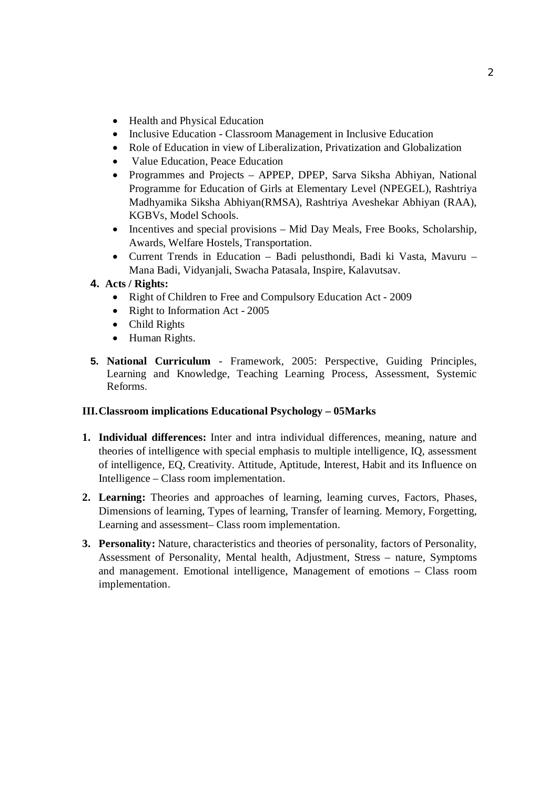- Health and Physical Education
- Inclusive Education Classroom Management in Inclusive Education
- Role of Education in view of Liberalization, Privatization and Globalization
- Value Education, Peace Education
- Programmes and Projects APPEP, DPEP, Sarva Siksha Abhiyan, National Programme for Education of Girls at Elementary Level (NPEGEL), Rashtriya Madhyamika Siksha Abhiyan(RMSA), Rashtriya Aveshekar Abhiyan (RAA), KGBVs, Model Schools.
- Incentives and special provisions Mid Day Meals, Free Books, Scholarship, Awards, Welfare Hostels, Transportation.
- x Current Trends in Education Badi pelusthondi, Badi ki Vasta, Mavuru Mana Badi, Vidyanjali, Swacha Patasala, Inspire, Kalavutsav.

### **4. Acts / Rights:**

- Right of Children to Free and Compulsory Education Act 2009
- Right to Information Act  $2005$
- $\bullet$  Child Rights
- Human Rights.
- **5. National Curriculum** Framework, 2005: Perspective, Guiding Principles, Learning and Knowledge, Teaching Learning Process, Assessment, Systemic Reforms.

### **III.Classroom implications Educational Psychology – 05Marks**

- **1. Individual differences:** Inter and intra individual differences, meaning, nature and theories of intelligence with special emphasis to multiple intelligence, IQ, assessment of intelligence, EQ, Creativity. Attitude, Aptitude, Interest, Habit and its Influence on Intelligence – Class room implementation.
- **2. Learning:** Theories and approaches of learning, learning curves, Factors, Phases, Dimensions of learning, Types of learning, Transfer of learning. Memory, Forgetting, Learning and assessment– Class room implementation.
- **3. Personality:** Nature, characteristics and theories of personality, factors of Personality, Assessment of Personality, Mental health, Adjustment, Stress – nature, Symptoms and management. Emotional intelligence, Management of emotions – Class room implementation.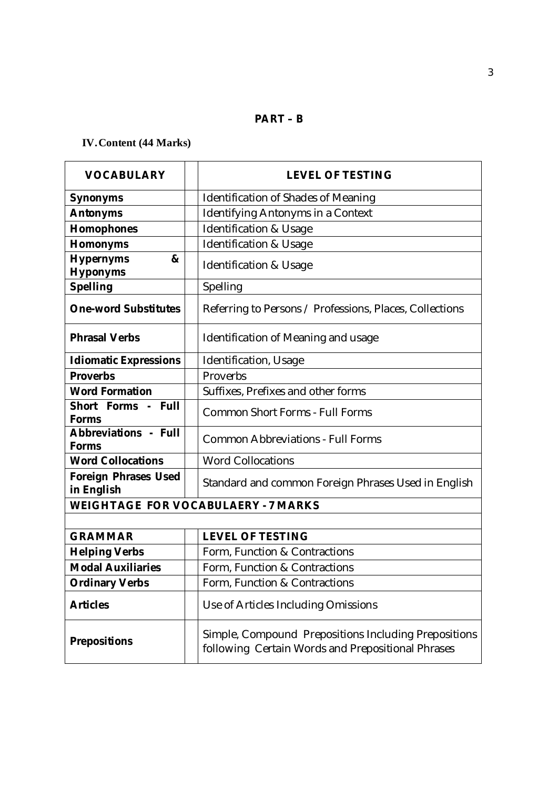# **PART – B**

# **IV.Content (44 Marks)**

| <b>VOCABULARY</b>                  | <b>LEVEL OF TESTING</b>                                                                                   |
|------------------------------------|-----------------------------------------------------------------------------------------------------------|
| Synonyms                           | Identification of Shades of Meaning                                                                       |
| Antonyms                           | Identifying Antonyms in a Context                                                                         |
| Homophones                         | <b>Identification &amp; Usage</b>                                                                         |
| Homonyms                           | <b>Identification &amp; Usage</b>                                                                         |
| Hypernyms<br>&<br>Hyponyms         | <b>Identification &amp; Usage</b>                                                                         |
| Spelling                           | Spelling                                                                                                  |
| One-word Substitutes               | Referring to Persons / Professions, Places, Collections                                                   |
| <b>Phrasal Verbs</b>               | Identification of Meaning and usage                                                                       |
| <b>Idiomatic Expressions</b>       | Identification, Usage                                                                                     |
| Proverbs                           | Proverbs                                                                                                  |
| <b>Word Formation</b>              | Suffixes, Prefixes and other forms                                                                        |
| Short Forms - Full<br>Forms        | <b>Common Short Forms - Full Forms</b>                                                                    |
| Abbreviations - Full<br>Forms      | <b>Common Abbreviations - Full Forms</b>                                                                  |
| <b>Word Collocations</b>           | <b>Word Collocations</b>                                                                                  |
| Foreign Phrases Used<br>in English | Standard and common Foreign Phrases Used in English                                                       |
|                                    | WEIGHTAGE FOR VOCABULAERY - 7 MARKS                                                                       |
|                                    |                                                                                                           |
| <b>GRAMMAR</b>                     | <b>LEVEL OF TESTING</b>                                                                                   |
| <b>Helping Verbs</b>               | Form, Function & Contractions                                                                             |
| <b>Modal Auxiliaries</b>           | Form, Function & Contractions                                                                             |
| <b>Ordinary Verbs</b>              | Form, Function & Contractions                                                                             |
| Articles                           | Use of Articles Including Omissions                                                                       |
| Prepositions                       | Simple, Compound Prepositions Including Prepositions<br>following Certain Words and Prepositional Phrases |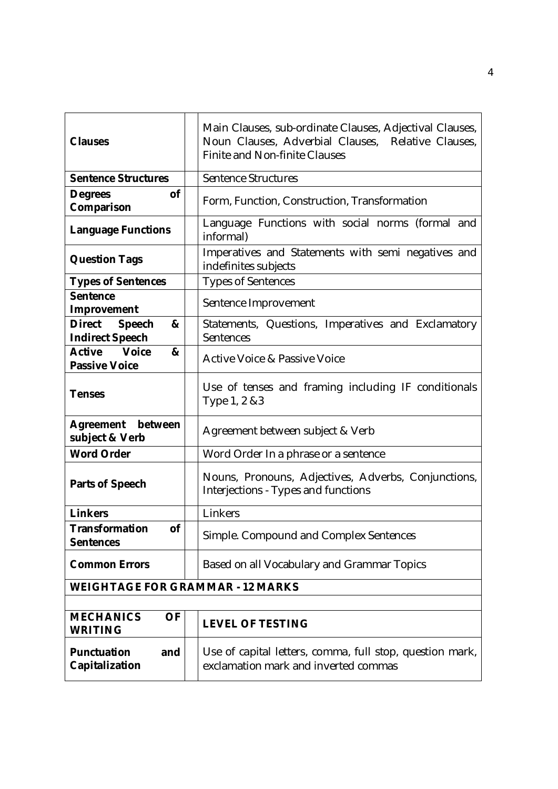| Clauses                                                | Main Clauses, sub-ordinate Clauses, Adjectival Clauses,<br>Noun Clauses, Adverbial Clauses, Relative Clauses,<br><b>Finite and Non-finite Clauses</b> |
|--------------------------------------------------------|-------------------------------------------------------------------------------------------------------------------------------------------------------|
| <b>Sentence Structures</b>                             | Sentence Structures                                                                                                                                   |
| Degrees<br>0f<br>Comparison                            | Form, Function, Construction, Transformation                                                                                                          |
| Language Functions                                     | Language Functions with social norms (formal and<br>informal)                                                                                         |
| <b>Question Tags</b>                                   | Imperatives and Statements with semi negatives and<br>indefinites subjects                                                                            |
| <b>Types of Sentences</b>                              | <b>Types of Sentences</b>                                                                                                                             |
| Sentence<br>Improvement                                | Sentence Improvement                                                                                                                                  |
| Speech<br><b>Direct</b><br>&<br><b>Indirect Speech</b> | Statements, Questions, Imperatives and Exclamatory<br>Sentences                                                                                       |
| Voice<br>Active<br>&<br>Passive Voice                  | <b>Active Voice &amp; Passive Voice</b>                                                                                                               |
| <b>Tenses</b>                                          | Use of tenses and framing including IF conditionals<br>Type 1, 2 & 3                                                                                  |
| Agreement between<br>subject & Verb                    | Agreement between subject & Verb                                                                                                                      |
| Word Order                                             | Word Order In a phrase or a sentence                                                                                                                  |
| Parts of Speech                                        | Nouns, Pronouns, Adjectives, Adverbs, Conjunctions,<br>Interjections - Types and functions                                                            |
| Linkers                                                | Linkers                                                                                                                                               |
| Transformation<br>оf<br>Sentences                      | Simple. Compound and Complex Sentences                                                                                                                |
| <b>Common Errors</b>                                   | Based on all Vocabulary and Grammar Topics                                                                                                            |
| WEIGHTAGE FOR GRAMMAR - 12 MARKS                       |                                                                                                                                                       |
|                                                        |                                                                                                                                                       |
| <b>MECHANICS</b><br>OF<br>WRITING                      | <b>LEVEL OF TESTING</b>                                                                                                                               |
| Punctuation<br>and<br>Capitalization                   | Use of capital letters, comma, full stop, question mark,<br>exclamation mark and inverted commas                                                      |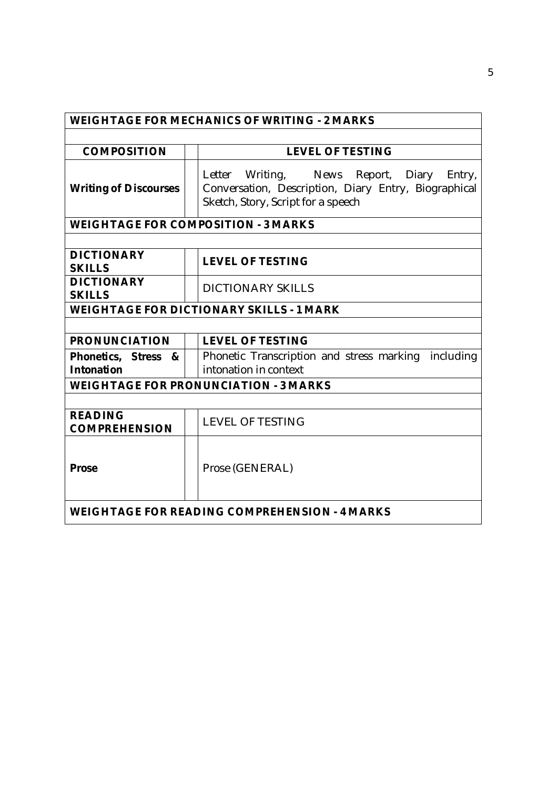| WEIGHTAGE FOR MECHANICS OF WRITING - 2 MARKS  |  |                                                                                                                                            |  |  |
|-----------------------------------------------|--|--------------------------------------------------------------------------------------------------------------------------------------------|--|--|
|                                               |  |                                                                                                                                            |  |  |
| COMPOSITION                                   |  | <b>LEVEL OF TESTING</b>                                                                                                                    |  |  |
| <b>Writing of Discourses</b>                  |  | Letter Writing, News Report, Diary<br>Entry,<br>Conversation, Description, Diary Entry, Biographical<br>Sketch, Story, Script for a speech |  |  |
|                                               |  | WEIGHTAGE FOR COMPOSITION - 3 MARKS                                                                                                        |  |  |
|                                               |  |                                                                                                                                            |  |  |
| <b>DICTIONARY</b><br><b>SKILLS</b>            |  | <b>LEVEL OF TESTING</b>                                                                                                                    |  |  |
| <b>DICTIONARY</b><br><b>SKILLS</b>            |  | <b>DICTIONARY SKILLS</b>                                                                                                                   |  |  |
|                                               |  | WEIGHTAGE FOR DICTIONARY SKILLS - 1 MARK                                                                                                   |  |  |
|                                               |  |                                                                                                                                            |  |  |
| PRONUNCIATION                                 |  | <b>LEVEL OF TESTING</b>                                                                                                                    |  |  |
| Phonetics, Stress<br>&<br>Intonation          |  | Phonetic Transcription and stress marking<br>including<br>intonation in context                                                            |  |  |
| WEIGHTAGE FOR PRONUNCIATION - 3 MARKS         |  |                                                                                                                                            |  |  |
|                                               |  |                                                                                                                                            |  |  |
| <b>READING</b><br><b>COMPREHENSION</b>        |  | <b>LEVEL OF TESTING</b>                                                                                                                    |  |  |
| Prose                                         |  | Prose (GENERAL)                                                                                                                            |  |  |
| WEIGHTAGE FOR READING COMPREHENSION - 4 MARKS |  |                                                                                                                                            |  |  |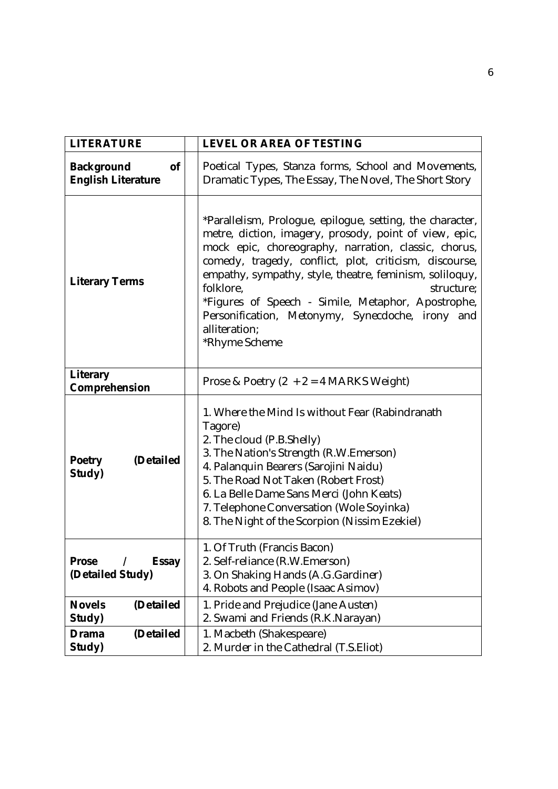| LITERATURE                                               | LEVEL OR AREA OF TESTING                                                                                                                                                                                                                                                                                                                                                                                                                                                |  |
|----------------------------------------------------------|-------------------------------------------------------------------------------------------------------------------------------------------------------------------------------------------------------------------------------------------------------------------------------------------------------------------------------------------------------------------------------------------------------------------------------------------------------------------------|--|
| <sub>of</sub><br>Background<br><b>English Literature</b> | Poetical Types, Stanza forms, School and Movements,<br>Dramatic Types, The Essay, The Novel, The Short Story                                                                                                                                                                                                                                                                                                                                                            |  |
| <b>Literary Terms</b>                                    | *Parallelism, Prologue, epilogue, setting, the character,<br>metre, diction, imagery, prosody, point of view, epic,<br>mock epic, choreography, narration, classic, chorus,<br>comedy, tragedy, conflict, plot, criticism, discourse,<br>empathy, sympathy, style, theatre, feminism, soliloquy,<br>folklore,<br>structure;<br>*Figures of Speech - Simile, Metaphor, Apostrophe,<br>Personification, Metonymy, Synecdoche, irony and<br>alliteration;<br>*Rhyme Scheme |  |
| Literary<br>Comprehension                                | Prose & Poetry $(2 + 2 = 4$ MARKS Weight)                                                                                                                                                                                                                                                                                                                                                                                                                               |  |
| Poetry<br>(Detailed<br>Study)                            | 1. Where the Mind Is without Fear (Rabindranath<br>Tagore)<br>2. The cloud (P.B.Shelly)<br>3. The Nation's Strength (R.W.Emerson)<br>4. Palanquin Bearers (Sarojini Naidu)<br>5. The Road Not Taken (Robert Frost)<br>6. La Belle Dame Sans Merci (John Keats)<br>7. Telephone Conversation (Wole Soyinka)<br>8. The Night of the Scorpion (Nissim Ezekiel)                                                                                                             |  |
| Prose<br>Essay<br>(Detailed Study)                       | 1. Of Truth (Francis Bacon)<br>2. Self-reliance (R.W.Emerson)<br>3. On Shaking Hands (A.G.Gardiner)<br>4. Robots and People (Isaac Asimov)                                                                                                                                                                                                                                                                                                                              |  |
| Novels<br>(Detailed<br>Study)                            | 1. Pride and Prejudice (Jane Austen)<br>2. Swami and Friends (R.K.Narayan)                                                                                                                                                                                                                                                                                                                                                                                              |  |
| Drama<br>(Detailed<br>Study)                             | 1. Macbeth (Shakespeare)<br>2. Murder in the Cathedral (T.S.Eliot)                                                                                                                                                                                                                                                                                                                                                                                                      |  |